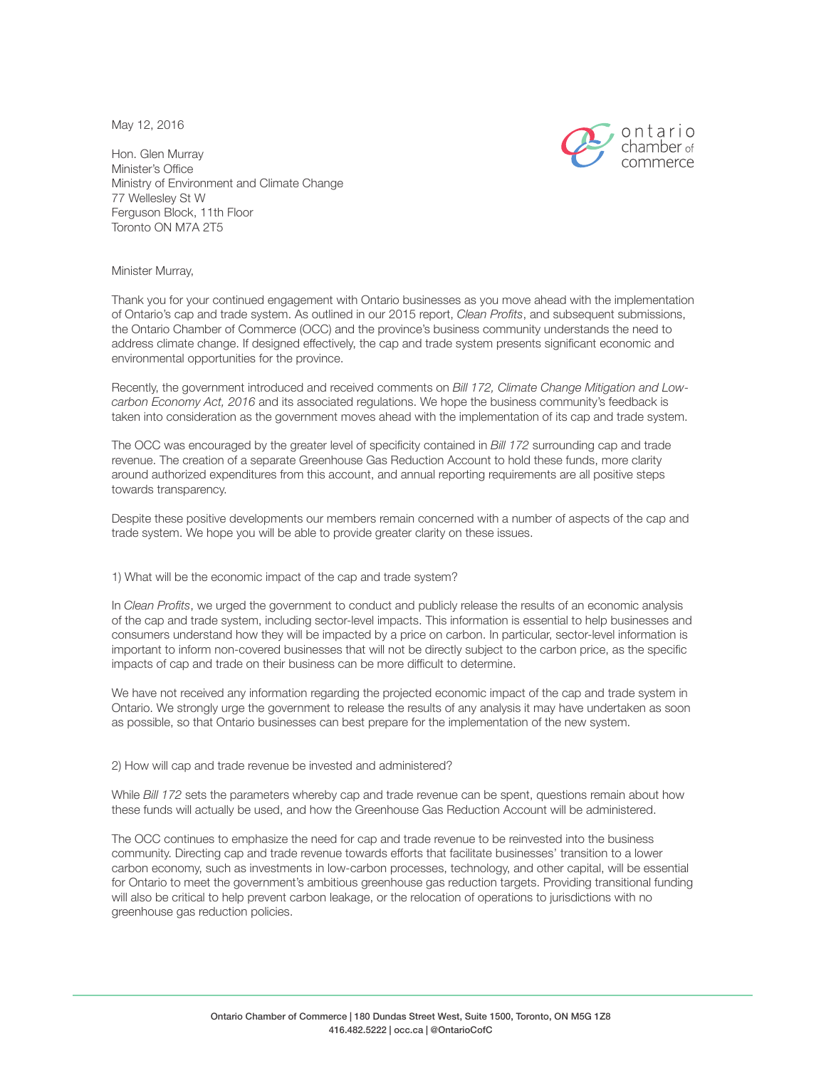May 12, 2016



Hon. Glen Murray Minister's Office Ministry of Environment and Climate Change 77 Wellesley St W Ferguson Block, 11th Floor Toronto ON M7A 2T5

Minister Murray,

Thank you for your continued engagement with Ontario businesses as you move ahead with the implementation of Ontario's cap and trade system. As outlined in our 2015 report, *Clean Profits*, and subsequent submissions, the Ontario Chamber of Commerce (OCC) and the province's business community understands the need to address climate change. If designed effectively, the cap and trade system presents significant economic and environmental opportunities for the province.

Recently, the government introduced and received comments on *Bill 172, Climate Change Mitigation and Lowcarbon Economy Act, 2016* and its associated regulations. We hope the business community's feedback is taken into consideration as the government moves ahead with the implementation of its cap and trade system.

The OCC was encouraged by the greater level of specificity contained in *Bill 172* surrounding cap and trade revenue. The creation of a separate Greenhouse Gas Reduction Account to hold these funds, more clarity around authorized expenditures from this account, and annual reporting requirements are all positive steps towards transparency.

Despite these positive developments our members remain concerned with a number of aspects of the cap and trade system. We hope you will be able to provide greater clarity on these issues.

1) What will be the economic impact of the cap and trade system?

In *Clean Profits*, we urged the government to conduct and publicly release the results of an economic analysis of the cap and trade system, including sector-level impacts. This information is essential to help businesses and consumers understand how they will be impacted by a price on carbon. In particular, sector-level information is important to inform non-covered businesses that will not be directly subject to the carbon price, as the specific impacts of cap and trade on their business can be more difficult to determine.

We have not received any information regarding the projected economic impact of the cap and trade system in Ontario. We strongly urge the government to release the results of any analysis it may have undertaken as soon as possible, so that Ontario businesses can best prepare for the implementation of the new system.

2) How will cap and trade revenue be invested and administered?

While *Bill 172* sets the parameters whereby cap and trade revenue can be spent, questions remain about how these funds will actually be used, and how the Greenhouse Gas Reduction Account will be administered.

The OCC continues to emphasize the need for cap and trade revenue to be reinvested into the business community. Directing cap and trade revenue towards efforts that facilitate businesses' transition to a lower carbon economy, such as investments in low-carbon processes, technology, and other capital, will be essential for Ontario to meet the government's ambitious greenhouse gas reduction targets. Providing transitional funding will also be critical to help prevent carbon leakage, or the relocation of operations to jurisdictions with no greenhouse gas reduction policies.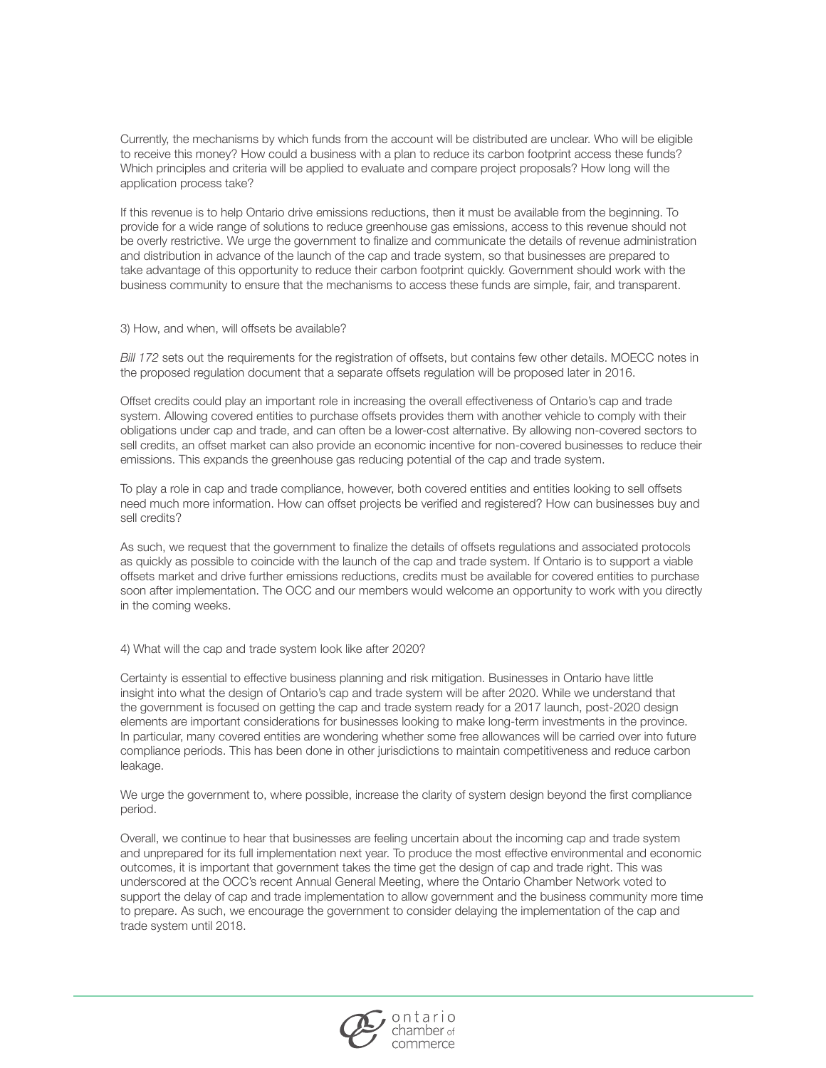Currently, the mechanisms by which funds from the account will be distributed are unclear. Who will be eligible to receive this money? How could a business with a plan to reduce its carbon footprint access these funds? Which principles and criteria will be applied to evaluate and compare project proposals? How long will the application process take?

If this revenue is to help Ontario drive emissions reductions, then it must be available from the beginning. To provide for a wide range of solutions to reduce greenhouse gas emissions, access to this revenue should not be overly restrictive. We urge the government to finalize and communicate the details of revenue administration and distribution in advance of the launch of the cap and trade system, so that businesses are prepared to take advantage of this opportunity to reduce their carbon footprint quickly. Government should work with the business community to ensure that the mechanisms to access these funds are simple, fair, and transparent.

3) How, and when, will offsets be available?

*Bill 172* sets out the requirements for the registration of offsets, but contains few other details. MOECC notes in the proposed regulation document that a separate offsets regulation will be proposed later in 2016.

Offset credits could play an important role in increasing the overall effectiveness of Ontario's cap and trade system. Allowing covered entities to purchase offsets provides them with another vehicle to comply with their obligations under cap and trade, and can often be a lower-cost alternative. By allowing non-covered sectors to sell credits, an offset market can also provide an economic incentive for non-covered businesses to reduce their emissions. This expands the greenhouse gas reducing potential of the cap and trade system.

To play a role in cap and trade compliance, however, both covered entities and entities looking to sell offsets need much more information. How can offset projects be verified and registered? How can businesses buy and sell credits?

As such, we request that the government to finalize the details of offsets regulations and associated protocols as quickly as possible to coincide with the launch of the cap and trade system. If Ontario is to support a viable offsets market and drive further emissions reductions, credits must be available for covered entities to purchase soon after implementation. The OCC and our members would welcome an opportunity to work with you directly in the coming weeks.

4) What will the cap and trade system look like after 2020?

Certainty is essential to effective business planning and risk mitigation. Businesses in Ontario have little insight into what the design of Ontario's cap and trade system will be after 2020. While we understand that the government is focused on getting the cap and trade system ready for a 2017 launch, post-2020 design elements are important considerations for businesses looking to make long-term investments in the province. In particular, many covered entities are wondering whether some free allowances will be carried over into future compliance periods. This has been done in other jurisdictions to maintain competitiveness and reduce carbon leakage.

We urge the government to, where possible, increase the clarity of system design beyond the first compliance period.

Overall, we continue to hear that businesses are feeling uncertain about the incoming cap and trade system and unprepared for its full implementation next year. To produce the most effective environmental and economic outcomes, it is important that government takes the time get the design of cap and trade right. This was underscored at the OCC's recent Annual General Meeting, where the Ontario Chamber Network voted to support the delay of cap and trade implementation to allow government and the business community more time to prepare. As such, we encourage the government to consider delaying the implementation of the cap and trade system until 2018.